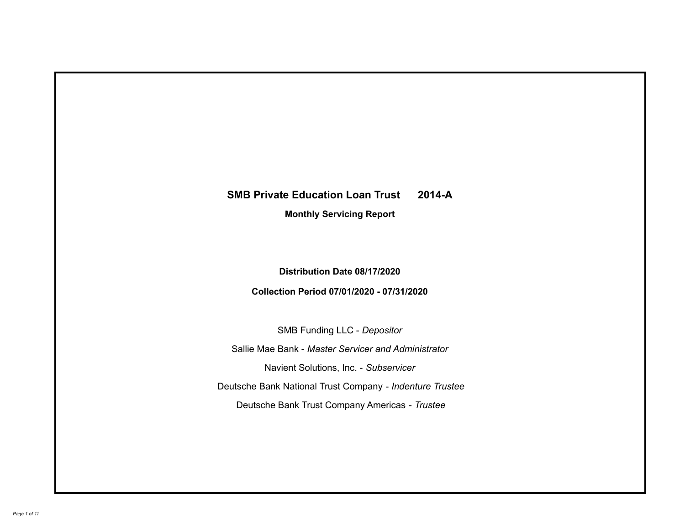# **SMB Private Education Loan Trust 2014-A Monthly Servicing Report**

**Distribution Date 08/17/2020**

**Collection Period 07/01/2020 - 07/31/2020**

SMB Funding LLC - *Depositor*

Sallie Mae Bank - *Master Servicer and Administrator*

Navient Solutions, Inc. - *Subservicer*

Deutsche Bank National Trust Company - *Indenture Trustee*

Deutsche Bank Trust Company Americas - *Trustee*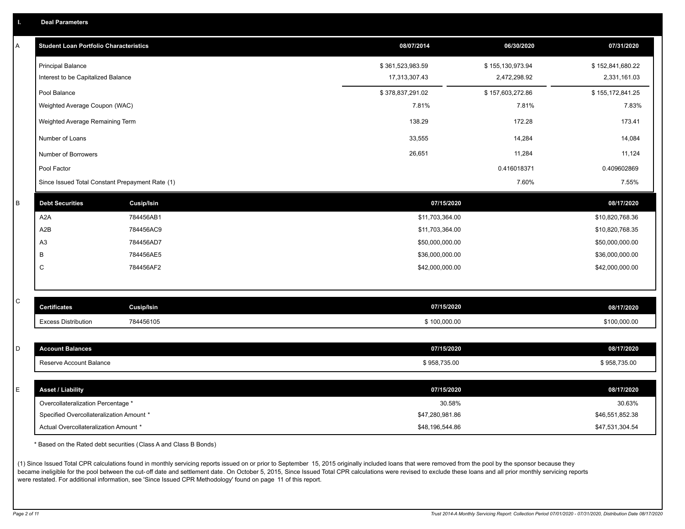| A | <b>Student Loan Portfolio Characteristics</b>   |                   | 08/07/2014       | 06/30/2020       | 07/31/2020       |
|---|-------------------------------------------------|-------------------|------------------|------------------|------------------|
|   | <b>Principal Balance</b>                        |                   | \$361,523,983.59 | \$155,130,973.94 | \$152,841,680.22 |
|   | Interest to be Capitalized Balance              |                   | 17,313,307.43    | 2,472,298.92     | 2,331,161.03     |
|   | Pool Balance                                    |                   | \$378,837,291.02 | \$157,603,272.86 | \$155,172,841.25 |
|   | Weighted Average Coupon (WAC)                   |                   | 7.81%            | 7.81%            | 7.83%            |
|   | Weighted Average Remaining Term                 |                   | 138.29           | 172.28           | 173.41           |
|   | Number of Loans                                 |                   | 33,555           | 14,284           | 14,084           |
|   | Number of Borrowers                             |                   | 26,651           | 11,284           | 11,124           |
|   | Pool Factor                                     |                   |                  | 0.416018371      | 0.409602869      |
|   | Since Issued Total Constant Prepayment Rate (1) |                   |                  | 7.60%            | 7.55%            |
| B | <b>Debt Securities</b>                          | Cusip/Isin        | 07/15/2020       |                  | 08/17/2020       |
|   | A <sub>2</sub> A                                | 784456AB1         | \$11,703,364.00  |                  | \$10,820,768.36  |
|   | A2B                                             | 784456AC9         | \$11,703,364.00  |                  | \$10,820,768.35  |
|   | A3                                              | 784456AD7         | \$50,000,000.00  |                  | \$50,000,000.00  |
|   | B                                               | 784456AE5         | \$36,000,000.00  |                  | \$36,000,000.00  |
|   | C                                               | 784456AF2         | \$42,000,000.00  |                  | \$42,000,000.00  |
|   |                                                 |                   |                  |                  |                  |
| С | <b>Certificates</b>                             | <b>Cusip/Isin</b> | 07/15/2020       |                  | 08/17/2020       |
|   | <b>Excess Distribution</b>                      | 784456105         | \$100,000.00     |                  | \$100,000.00     |
|   |                                                 |                   |                  |                  |                  |
| D | <b>Account Balances</b>                         |                   | 07/15/2020       |                  | 08/17/2020       |
|   | Reserve Account Balance                         |                   | \$958,735.00     |                  | \$958,735.00     |
|   |                                                 |                   |                  |                  |                  |
| E | <b>Asset / Liability</b>                        |                   | 07/15/2020       |                  | 08/17/2020       |
|   | Overcollateralization Percentage *              |                   | 30.58%           |                  | 30.63%           |
|   | Specified Overcollateralization Amount *        |                   | \$47,280,981.86  |                  | \$46,551,852.38  |
|   | Actual Overcollateralization Amount *           |                   | \$48,196,544.86  |                  | \$47,531,304.54  |

\* Based on the Rated debt securities (Class A and Class B Bonds)

(1) Since Issued Total CPR calculations found in monthly servicing reports issued on or prior to September 15, 2015 originally included loans that were removed from the pool by the sponsor because they became ineligible for the pool between the cut-off date and settlement date. On October 5, 2015, Since Issued Total CPR calculations were revised to exclude these loans and all prior monthly servicing reports were restated. For additional information, see 'Since Issued CPR Methodology' found on page 11 of this report.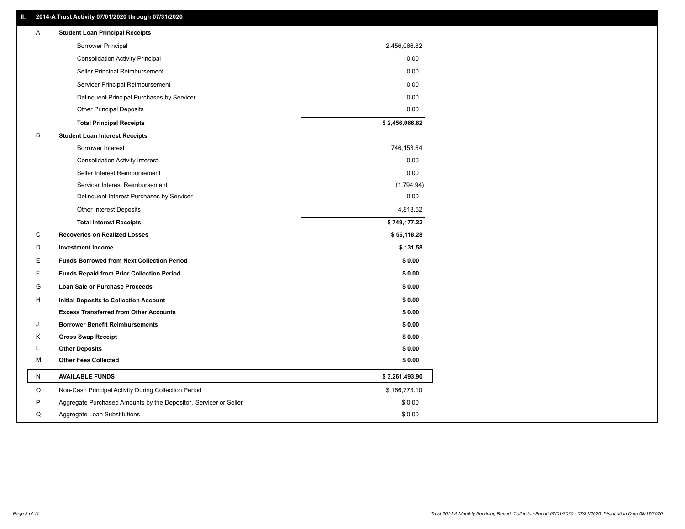### **II. 2014-A Trust Activity 07/01/2020 through 07/31/2020**

| <b>Borrower Principal</b><br>2,456,066.82                                       |  |
|---------------------------------------------------------------------------------|--|
|                                                                                 |  |
| 0.00<br><b>Consolidation Activity Principal</b>                                 |  |
| 0.00<br>Seller Principal Reimbursement                                          |  |
| 0.00<br>Servicer Principal Reimbursement                                        |  |
| 0.00<br>Delinquent Principal Purchases by Servicer                              |  |
| 0.00<br><b>Other Principal Deposits</b>                                         |  |
| \$2,456,066.82<br><b>Total Principal Receipts</b>                               |  |
| В<br><b>Student Loan Interest Receipts</b>                                      |  |
| Borrower Interest<br>746,153.64                                                 |  |
| <b>Consolidation Activity Interest</b><br>0.00                                  |  |
| 0.00<br>Seller Interest Reimbursement                                           |  |
| Servicer Interest Reimbursement<br>(1,794.94)                                   |  |
| 0.00<br>Delinquent Interest Purchases by Servicer                               |  |
| Other Interest Deposits<br>4,818.52                                             |  |
| \$749,177.22<br><b>Total Interest Receipts</b>                                  |  |
| С<br><b>Recoveries on Realized Losses</b><br>\$56,118.28                        |  |
| D<br><b>Investment Income</b><br>\$131.58                                       |  |
| E<br><b>Funds Borrowed from Next Collection Period</b><br>\$0.00                |  |
| F<br><b>Funds Repaid from Prior Collection Period</b><br>\$0.00                 |  |
| G<br>\$0.00<br>Loan Sale or Purchase Proceeds                                   |  |
| \$0.00<br>H<br>Initial Deposits to Collection Account                           |  |
| <b>Excess Transferred from Other Accounts</b><br>\$0.00                         |  |
| <b>Borrower Benefit Reimbursements</b><br>\$0.00<br>J                           |  |
| Κ<br><b>Gross Swap Receipt</b><br>\$0.00                                        |  |
| \$0.00<br><b>Other Deposits</b><br>L                                            |  |
| <b>Other Fees Collected</b><br>М<br>\$0.00                                      |  |
| Ν<br><b>AVAILABLE FUNDS</b><br>\$3,261,493.90                                   |  |
| O<br>Non-Cash Principal Activity During Collection Period<br>\$166,773.10       |  |
| \$0.00<br>P<br>Aggregate Purchased Amounts by the Depositor, Servicer or Seller |  |
| Q<br>Aggregate Loan Substitutions<br>\$0.00                                     |  |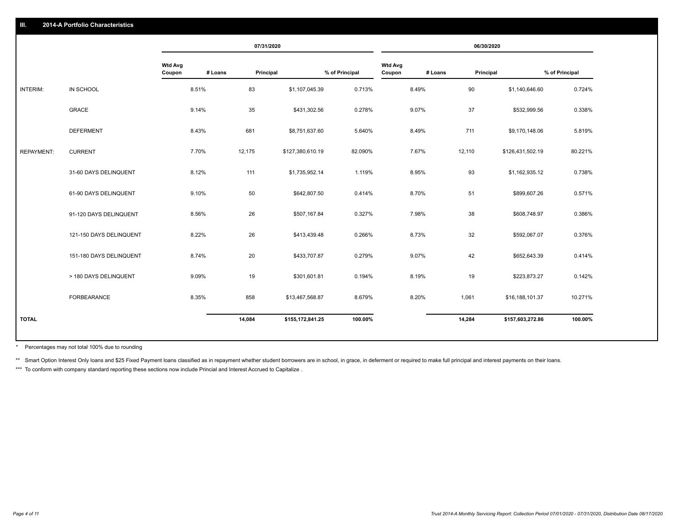|                   |                         |                          |         | 07/31/2020 |                  |                |                          |         | 06/30/2020 |                  |                |
|-------------------|-------------------------|--------------------------|---------|------------|------------------|----------------|--------------------------|---------|------------|------------------|----------------|
|                   |                         | <b>Wtd Avg</b><br>Coupon | # Loans | Principal  |                  | % of Principal | <b>Wtd Avg</b><br>Coupon | # Loans | Principal  |                  | % of Principal |
| INTERIM:          | IN SCHOOL               |                          | 8.51%   | 83         | \$1,107,045.39   | 0.713%         |                          | 8.49%   | 90         | \$1,140,646.60   | 0.724%         |
|                   | GRACE                   |                          | 9.14%   | 35         | \$431,302.56     | 0.278%         |                          | 9.07%   | 37         | \$532,999.56     | 0.338%         |
|                   | <b>DEFERMENT</b>        |                          | 8.43%   | 681        | \$8,751,637.60   | 5.640%         |                          | 8.49%   | 711        | \$9,170,148.06   | 5.819%         |
| <b>REPAYMENT:</b> | <b>CURRENT</b>          |                          | 7.70%   | 12,175     | \$127,380,610.19 | 82.090%        |                          | 7.67%   | 12,110     | \$126,431,502.19 | 80.221%        |
|                   | 31-60 DAYS DELINQUENT   |                          | 8.12%   | 111        | \$1,735,952.14   | 1.119%         |                          | 8.95%   | 93         | \$1,162,935.12   | 0.738%         |
|                   | 61-90 DAYS DELINQUENT   |                          | 9.10%   | 50         | \$642,807.50     | 0.414%         |                          | 8.70%   | 51         | \$899,607.26     | 0.571%         |
|                   | 91-120 DAYS DELINQUENT  |                          | 8.56%   | 26         | \$507,167.84     | 0.327%         |                          | 7.98%   | 38         | \$608,748.97     | 0.386%         |
|                   | 121-150 DAYS DELINQUENT |                          | 8.22%   | 26         | \$413,439.48     | 0.266%         |                          | 8.73%   | 32         | \$592,067.07     | 0.376%         |
|                   | 151-180 DAYS DELINQUENT |                          | 8.74%   | 20         | \$433,707.87     | 0.279%         |                          | 9.07%   | 42         | \$652,643.39     | 0.414%         |
|                   | > 180 DAYS DELINQUENT   |                          | 9.09%   | 19         | \$301,601.81     | 0.194%         |                          | 8.19%   | 19         | \$223,873.27     | 0.142%         |
|                   | <b>FORBEARANCE</b>      |                          | 8.35%   | 858        | \$13,467,568.87  | 8.679%         |                          | 8.20%   | 1,061      | \$16,188,101.37  | 10.271%        |
| <b>TOTAL</b>      |                         |                          |         | 14,084     | \$155,172,841.25 | 100.00%        |                          |         | 14,284     | \$157,603,272.86 | 100.00%        |

Percentages may not total 100% due to rounding \*

\*\* Smart Option Interest Only loans and \$25 Fixed Payment loans classified as in repayment whether student borrowers are in school, in grace, in deferment or required to make full principal and interest payments on their l

\*\*\* To conform with company standard reporting these sections now include Princial and Interest Accrued to Capitalize.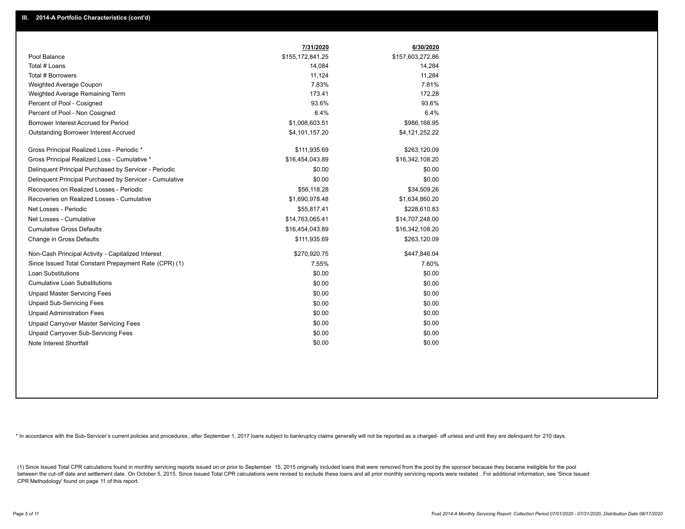|                                                         | 7/31/2020        | 6/30/2020        |
|---------------------------------------------------------|------------------|------------------|
| Pool Balance                                            | \$155,172,841.25 | \$157,603,272.86 |
| Total # Loans                                           | 14,084           | 14,284           |
| Total # Borrowers                                       | 11,124           | 11,284           |
| Weighted Average Coupon                                 | 7.83%            | 7.81%            |
| Weighted Average Remaining Term                         | 173.41           | 172.28           |
| Percent of Pool - Cosigned                              | 93.6%            | 93.6%            |
| Percent of Pool - Non Cosigned                          | 6.4%             | 6.4%             |
| Borrower Interest Accrued for Period                    | \$1,008,603.51   | \$986,168.95     |
| Outstanding Borrower Interest Accrued                   | \$4,101,157.20   | \$4,121,252.22   |
| Gross Principal Realized Loss - Periodic *              | \$111,935.69     | \$263,120.09     |
| Gross Principal Realized Loss - Cumulative *            | \$16,454,043.89  | \$16,342,108.20  |
| Delinquent Principal Purchased by Servicer - Periodic   | \$0.00           | \$0.00           |
| Delinguent Principal Purchased by Servicer - Cumulative | \$0.00           | \$0.00           |
| Recoveries on Realized Losses - Periodic                | \$56,118.28      | \$34,509.26      |
| Recoveries on Realized Losses - Cumulative              | \$1,690,978.48   | \$1,634,860.20   |
| Net Losses - Periodic                                   | \$55,817.41      | \$228,610.83     |
| Net Losses - Cumulative                                 | \$14,763,065.41  | \$14,707,248.00  |
| <b>Cumulative Gross Defaults</b>                        | \$16,454,043.89  | \$16,342,108.20  |
| Change in Gross Defaults                                | \$111,935.69     | \$263,120.09     |
| Non-Cash Principal Activity - Capitalized Interest      | \$270,920.75     | \$447,846.04     |
| Since Issued Total Constant Prepayment Rate (CPR) (1)   | 7.55%            | 7.60%            |
| Loan Substitutions                                      | \$0.00           | \$0.00           |
| <b>Cumulative Loan Substitutions</b>                    | \$0.00           | \$0.00           |
| <b>Unpaid Master Servicing Fees</b>                     | \$0.00           | \$0.00           |
| <b>Unpaid Sub-Servicing Fees</b>                        | \$0.00           | \$0.00           |
| <b>Unpaid Administration Fees</b>                       | \$0.00           | \$0.00           |
| Unpaid Carryover Master Servicing Fees                  | \$0.00           | \$0.00           |
| Unpaid Carryover Sub-Servicing Fees                     | \$0.00           | \$0.00           |
| Note Interest Shortfall                                 | \$0.00           | \$0.00           |

\* In accordance with the Sub-Servicer's current policies and procedures, after September 1, 2017 loans subject to bankruptcy claims generally will not be reported as a charged- off unless and until they are delinquent for

(1) Since Issued Total CPR calculations found in monthly servicing reports issued on or prior to September 15, 2015 originally included loans that were removed from the pool by the sponsor because they became ineligible fo between the cut-off date and settlement date. On October 5, 2015, Since Issued Total CPR calculations were revised to exclude these loans and all prior monthly servicing reports were restated. For additional information, s CPR Methodology' found on page 11 of this report.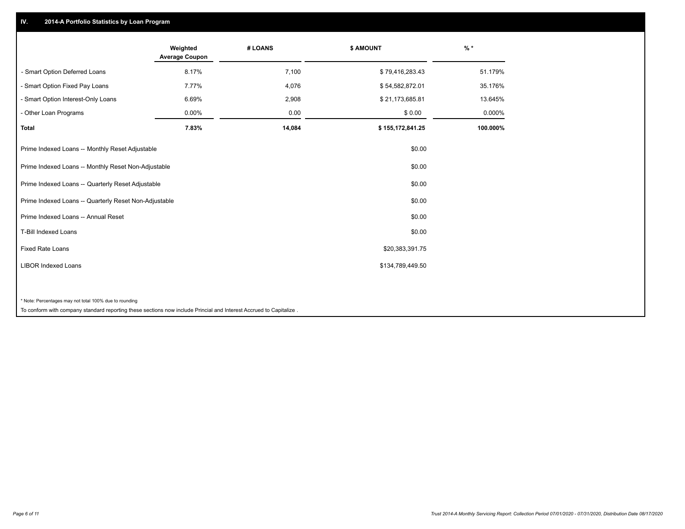## **IV. 2014-A Portfolio Statistics by Loan Program**

|                                                        | Weighted<br><b>Average Coupon</b> | # LOANS | \$ AMOUNT        | $\frac{9}{6}$ * |
|--------------------------------------------------------|-----------------------------------|---------|------------------|-----------------|
| - Smart Option Deferred Loans                          | 8.17%                             | 7,100   | \$79,416,283.43  | 51.179%         |
| - Smart Option Fixed Pay Loans                         | 7.77%                             | 4,076   | \$54,582,872.01  | 35.176%         |
| - Smart Option Interest-Only Loans                     | 6.69%                             | 2,908   | \$21,173,685.81  | 13.645%         |
| - Other Loan Programs                                  | 0.00%                             | 0.00    | \$0.00           | 0.000%          |
| Total                                                  | 7.83%                             | 14,084  | \$155,172,841.25 | 100.000%        |
| Prime Indexed Loans -- Monthly Reset Adjustable        |                                   |         | \$0.00           |                 |
| Prime Indexed Loans -- Monthly Reset Non-Adjustable    |                                   |         | \$0.00           |                 |
| Prime Indexed Loans -- Quarterly Reset Adjustable      |                                   |         | \$0.00           |                 |
| Prime Indexed Loans -- Quarterly Reset Non-Adjustable  |                                   |         | \$0.00           |                 |
| Prime Indexed Loans -- Annual Reset                    |                                   |         | \$0.00           |                 |
| <b>T-Bill Indexed Loans</b>                            |                                   |         | \$0.00           |                 |
| <b>Fixed Rate Loans</b>                                |                                   |         | \$20,383,391.75  |                 |
| <b>LIBOR Indexed Loans</b>                             |                                   |         | \$134,789,449.50 |                 |
|                                                        |                                   |         |                  |                 |
| * Note: Percentages may not total 100% due to rounding |                                   |         |                  |                 |

To conform with company standard reporting these sections now include Princial and Interest Accrued to Capitalize .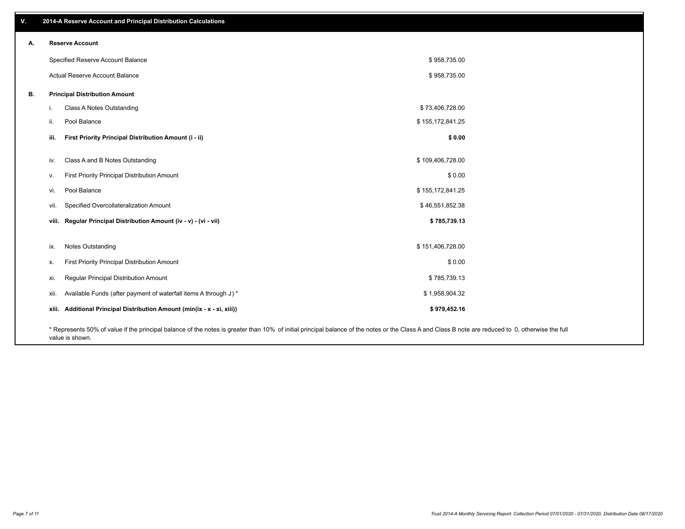| v. | 2014-A Reserve Account and Principal Distribution Calculations                                                                                                                                     |                  |  |
|----|----------------------------------------------------------------------------------------------------------------------------------------------------------------------------------------------------|------------------|--|
| А. | <b>Reserve Account</b>                                                                                                                                                                             |                  |  |
|    | Specified Reserve Account Balance                                                                                                                                                                  | \$958,735.00     |  |
|    | Actual Reserve Account Balance                                                                                                                                                                     | \$958,735.00     |  |
| В. | <b>Principal Distribution Amount</b>                                                                                                                                                               |                  |  |
|    | Class A Notes Outstanding<br>i.                                                                                                                                                                    | \$73,406,728.00  |  |
|    | Pool Balance<br>ii.                                                                                                                                                                                | \$155,172,841.25 |  |
|    | First Priority Principal Distribution Amount (i - ii)<br>iii.                                                                                                                                      | \$0.00           |  |
|    | Class A and B Notes Outstanding<br>iv.                                                                                                                                                             | \$109,406,728.00 |  |
|    | First Priority Principal Distribution Amount<br>v.                                                                                                                                                 | \$0.00           |  |
|    | Pool Balance<br>vi.                                                                                                                                                                                | \$155,172,841.25 |  |
|    | Specified Overcollateralization Amount<br>vii.                                                                                                                                                     | \$46,551,852.38  |  |
|    | viii. Regular Principal Distribution Amount (iv - v) - (vi - vii)                                                                                                                                  | \$785,739.13     |  |
|    |                                                                                                                                                                                                    |                  |  |
|    | Notes Outstanding<br>ix.                                                                                                                                                                           | \$151,406,728.00 |  |
|    | First Priority Principal Distribution Amount<br>х.                                                                                                                                                 | \$0.00           |  |
|    | Regular Principal Distribution Amount<br>xi.                                                                                                                                                       | \$785,739.13     |  |
|    | Available Funds (after payment of waterfall items A through J) *<br>xii.                                                                                                                           | \$1,958,904.32   |  |
|    | xiii. Additional Principal Distribution Amount (min(ix - x - xi, xiii))                                                                                                                            | \$979,452.16     |  |
|    | * Represents 50% of value if the principal balance of the notes is greater than 10% of initial principal balance of the notes or the Class A and Class B note are reduced to 0, otherwise the full |                  |  |

value is shown.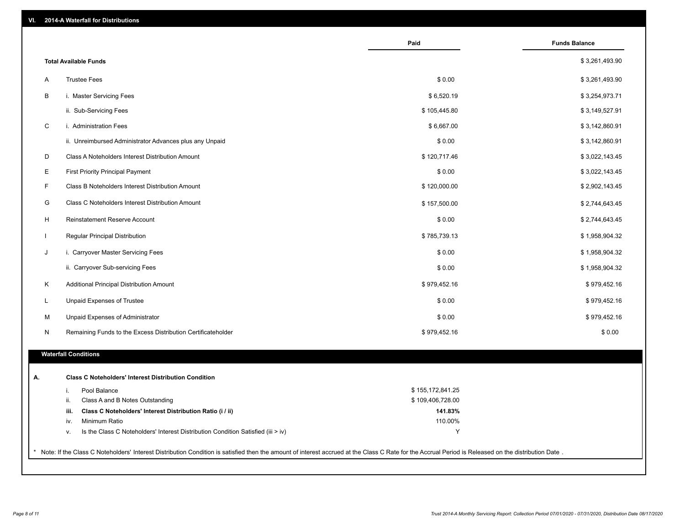| <b>Total Available Funds</b>                                                           |                  | \$3,261,493.90 |
|----------------------------------------------------------------------------------------|------------------|----------------|
| <b>Trustee Fees</b>                                                                    | \$0.00           | \$3,261,493.90 |
| i. Master Servicing Fees                                                               | \$6,520.19       | \$3,254,973.71 |
| ii. Sub-Servicing Fees                                                                 | \$105,445.80     | \$3,149,527.91 |
| i. Administration Fees                                                                 | \$6,667.00       | \$3,142,860.91 |
| ii. Unreimbursed Administrator Advances plus any Unpaid                                | \$0.00           | \$3,142,860.91 |
| Class A Noteholders Interest Distribution Amount                                       | \$120,717.46     | \$3,022,143.45 |
| <b>First Priority Principal Payment</b>                                                | \$0.00           | \$3,022,143.45 |
| Class B Noteholders Interest Distribution Amount                                       | \$120,000.00     | \$2,902,143.45 |
| Class C Noteholders Interest Distribution Amount                                       | \$157,500.00     | \$2,744,643.45 |
| Reinstatement Reserve Account                                                          | \$0.00           | \$2,744,643.45 |
| Regular Principal Distribution                                                         | \$785,739.13     | \$1,958,904.32 |
| i. Carryover Master Servicing Fees                                                     | \$0.00           | \$1,958,904.32 |
| ii. Carryover Sub-servicing Fees                                                       | \$0.00           | \$1,958,904.32 |
| Additional Principal Distribution Amount                                               | \$979,452.16     | \$979,452.16   |
| Unpaid Expenses of Trustee                                                             | \$0.00           | \$979,452.16   |
| Unpaid Expenses of Administrator                                                       | \$0.00           | \$979,452.16   |
| Remaining Funds to the Excess Distribution Certificateholder                           | \$979,452.16     | \$0.00         |
|                                                                                        |                  |                |
| <b>Waterfall Conditions</b>                                                            |                  |                |
| <b>Class C Noteholders' Interest Distribution Condition</b>                            |                  |                |
| Pool Balance<br>i.                                                                     | \$155,172,841.25 |                |
| ii.<br>Class A and B Notes Outstanding                                                 | \$109,406,728.00 |                |
| Class C Noteholders' Interest Distribution Ratio (i / ii)<br>iii.                      | 141.83%          |                |
| Minimum Ratio<br>iv.                                                                   | 110.00%          |                |
| Is the Class C Noteholders' Interest Distribution Condition Satisfied (iii > iv)<br>٧. | Υ                |                |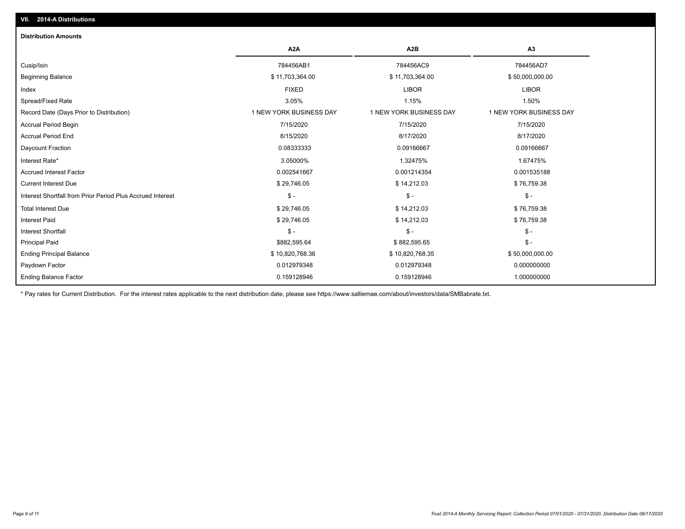## **VII. 2014-A Distributions**

| <b>Distribution Amounts</b>                                |                         |                         |                         |
|------------------------------------------------------------|-------------------------|-------------------------|-------------------------|
|                                                            | A <sub>2</sub> A        | A <sub>2</sub> B        | A3                      |
| Cusip/Isin                                                 | 784456AB1               | 784456AC9               | 784456AD7               |
| <b>Beginning Balance</b>                                   | \$11,703,364.00         | \$11,703,364.00         | \$50,000,000.00         |
| Index                                                      | <b>FIXED</b>            | <b>LIBOR</b>            | <b>LIBOR</b>            |
| Spread/Fixed Rate                                          | 3.05%                   | 1.15%                   | 1.50%                   |
| Record Date (Days Prior to Distribution)                   | 1 NEW YORK BUSINESS DAY | 1 NEW YORK BUSINESS DAY | 1 NEW YORK BUSINESS DAY |
| <b>Accrual Period Begin</b>                                | 7/15/2020               | 7/15/2020               | 7/15/2020               |
| <b>Accrual Period End</b>                                  | 8/15/2020               | 8/17/2020               | 8/17/2020               |
| <b>Daycount Fraction</b>                                   | 0.08333333              | 0.09166667              | 0.09166667              |
| Interest Rate*                                             | 3.05000%                | 1.32475%                | 1.67475%                |
| <b>Accrued Interest Factor</b>                             | 0.002541667             | 0.001214354             | 0.001535188             |
| <b>Current Interest Due</b>                                | \$29,746.05             | \$14,212.03             | \$76,759.38             |
| Interest Shortfall from Prior Period Plus Accrued Interest | $$ -$                   | $$ -$                   | $\mathcal{S}$ -         |
| <b>Total Interest Due</b>                                  | \$29,746.05             | \$14,212.03             | \$76,759.38             |
| <b>Interest Paid</b>                                       | \$29,746.05             | \$14,212.03             | \$76,759.38             |
| <b>Interest Shortfall</b>                                  | $$ -$                   | $$ -$                   | $\mathsf{\$}$ -         |
| <b>Principal Paid</b>                                      | \$882,595.64            | \$882,595.65            | $\mathsf{\$}$ -         |
| <b>Ending Principal Balance</b>                            | \$10,820,768.36         | \$10,820,768.35         | \$50,000,000.00         |
| Paydown Factor                                             | 0.012979348             | 0.012979348             | 0.000000000             |
| <b>Ending Balance Factor</b>                               | 0.159128946             | 0.159128946             | 1.000000000             |

\* Pay rates for Current Distribution. For the interest rates applicable to the next distribution date, please see https://www.salliemae.com/about/investors/data/SMBabrate.txt.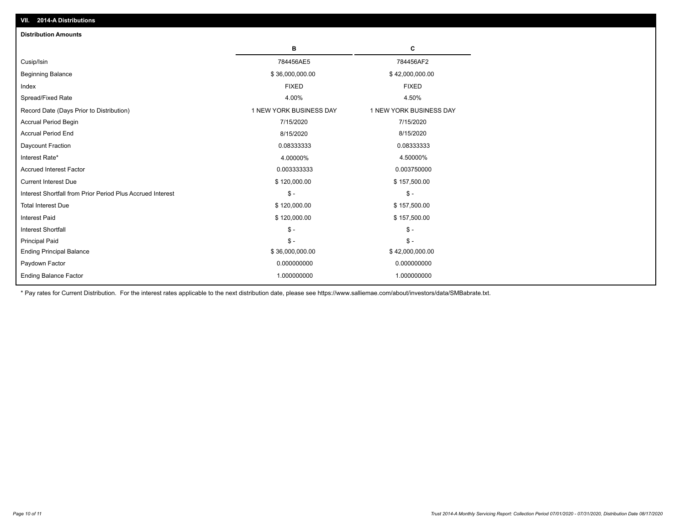| <b>Distribution Amounts</b>                                |                         |                         |
|------------------------------------------------------------|-------------------------|-------------------------|
|                                                            | в                       | C                       |
| Cusip/Isin                                                 | 784456AE5               | 784456AF2               |
| <b>Beginning Balance</b>                                   | \$36,000,000.00         | \$42,000,000.00         |
| Index                                                      | <b>FIXED</b>            | <b>FIXED</b>            |
| Spread/Fixed Rate                                          | 4.00%                   | 4.50%                   |
| Record Date (Days Prior to Distribution)                   | 1 NEW YORK BUSINESS DAY | 1 NEW YORK BUSINESS DAY |
| Accrual Period Begin                                       | 7/15/2020               | 7/15/2020               |
| <b>Accrual Period End</b>                                  | 8/15/2020               | 8/15/2020               |
| Daycount Fraction                                          | 0.08333333              | 0.08333333              |
| Interest Rate*                                             | 4.00000%                | 4.50000%                |
| <b>Accrued Interest Factor</b>                             | 0.003333333             | 0.003750000             |
| <b>Current Interest Due</b>                                | \$120,000.00            | \$157,500.00            |
| Interest Shortfall from Prior Period Plus Accrued Interest | $\mathsf{\$}$ -         | $\mathsf{\$}$ -         |
| <b>Total Interest Due</b>                                  | \$120,000.00            | \$157,500.00            |
| <b>Interest Paid</b>                                       | \$120,000.00            | \$157,500.00            |
| <b>Interest Shortfall</b>                                  | $\mathcal{S}$ -         | $\frac{1}{2}$           |
| <b>Principal Paid</b>                                      | $$ -$                   | $\mathsf{\$}$ -         |
| <b>Ending Principal Balance</b>                            | \$36,000,000.00         | \$42,000,000.00         |
| Paydown Factor                                             | 0.000000000             | 0.000000000             |
| <b>Ending Balance Factor</b>                               | 1.000000000             | 1.000000000             |

\* Pay rates for Current Distribution. For the interest rates applicable to the next distribution date, please see https://www.salliemae.com/about/investors/data/SMBabrate.txt.

**VII. 2014-A Distributions**